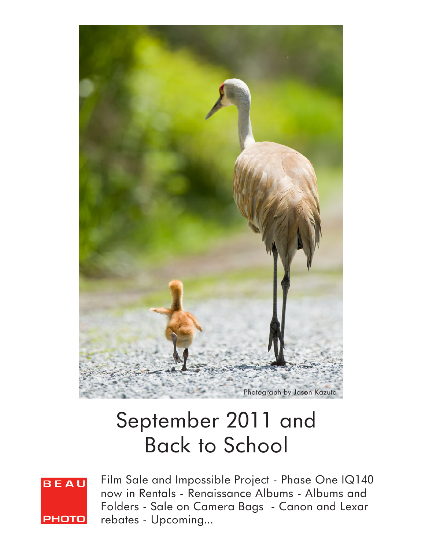

# September 2011 and Back to School



Film Sale and Impossible Project - Phase One IQ140 now in Rentals - Renaissance Albums - Albums and Folders - Sale on Camera Bags - Canon and Lexar rebates - Upcoming...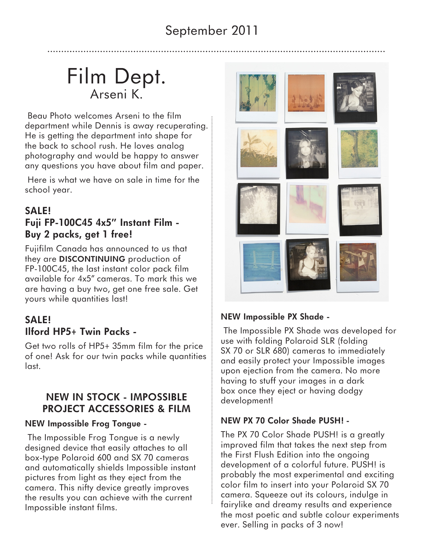## September 2011

## Film Dept. Arseni K.

 Beau Photo welcomes Arseni to the film department while Dennis is away recuperating. He is getting the department into shape for the back to school rush. He loves analog photography and would be happy to answer any questions you have about film and paper.

 Here is what we have on sale in time for the school year.

### **SALE! Fuji FP-100C45 4x5" Instant Film - Buy 2 packs, get 1 free!**

Fujifilm Canada has announced to us that they are **DISCONTINUING** production of FP-100C45, the last instant color pack film available for 4x5" cameras. To mark this we are having a buy two, get one free sale. Get yours while quantities last!

### **SALE! Ilford HP5+ Twin Packs -**

Get two rolls of HP5+ 35mm film for the price of one! Ask for our twin packs while quantities last.

### **NEW IN STOCK - IMPOSSIBLE PROJECT ACCESSORIES & FILM**

#### **NEW Impossible Frog Tongue -**

 The Impossible Frog Tongue is a newly designed device that easily attaches to all box-type Polaroid 600 and SX 70 cameras and automatically shields Impossible instant pictures from light as they eject from the camera. This nifty device greatly improves the results you can achieve with the current Impossible instant films.



#### **NEW Impossible PX Shade -**

 The Impossible PX Shade was developed for use with folding Polaroid SLR (folding SX 70 or SLR 680) cameras to immediately and easily protect your Impossible images upon ejection from the camera. No more having to stuff your images in a dark box once they eject or having dodgy development!

#### **NEW PX 70 Color Shade PUSH! -**

The PX 70 Color Shade PUSH! is a greatly improved film that takes the next step from the First Flush Edition into the ongoing development of a colorful future. PUSH! is probably the most experimental and exciting color film to insert into your Polaroid SX 70 camera. Squeeze out its colours, indulge in fairylike and dreamy results and experience the most poetic and subtle colour experiments ever. Selling in packs of 3 now!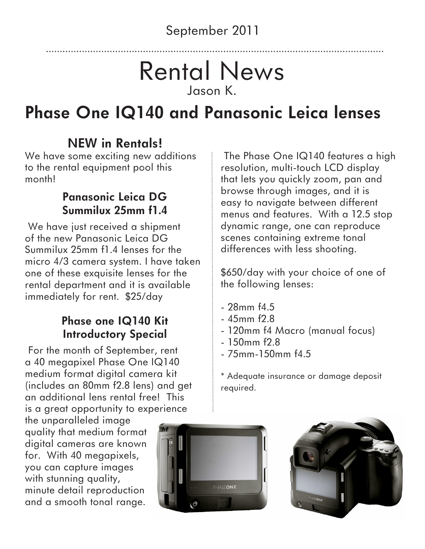# Rental News Jason K.

# **Phase One IQ140 and Panasonic Leica lenses**

## **NEW in Rentals!**

We have some exciting new additions to the rental equipment pool this month!

## **Panasonic Leica DG Summilux 25mm f1.4**

 We have just received a shipment of the new Panasonic Leica DG Summilux 25mm f1.4 lenses for the micro 4/3 camera system. I have taken one of these exquisite lenses for the rental department and it is available immediately for rent. \$25/day

## **Phase one IQ140 Kit Introductory Special**

 For the month of September, rent a 40 megapixel Phase One IQ140 medium format digital camera kit (includes an 80mm f2.8 lens) and get an additional lens rental free! This is a great opportunity to experience

the unparalleled image quality that medium format digital cameras are known for. With 40 megapixels, you can capture images with stunning quality, minute detail reproduction and a smooth tonal range.



 The Phase One IQ140 features a high resolution, multi-touch LCD display that lets you quickly zoom, pan and browse through images, and it is easy to navigate between different menus and features. With a 12.5 stop dynamic range, one can reproduce scenes containing extreme tonal differences with less shooting.

\$650/day with your choice of one of the following lenses:

- 28mm f4.5
- 45mm f2.8
- 120mm f4 Macro (manual focus)
- $-150$ mm  $f$ 2.8
- $-75$ mm $-150$ mm $f4.5$

\* Adequate insurance or damage deposit required.

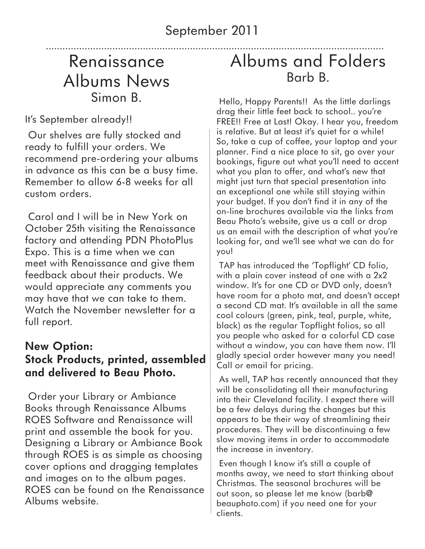## Renaissance Albums News Simon B.

It's September already!!

 Our shelves are fully stocked and ready to fulfill your orders. We recommend pre-ordering your albums in advance as this can be a busy time. Remember to allow 6-8 weeks for all custom orders.

 Carol and I will be in New York on October 25th visiting the Renaissance factory and attending PDN PhotoPlus Expo. This is a time when we can meet with Renaissance and give them feedback about their products. We would appreciate any comments you may have that we can take to them. Watch the November newsletter for a full report.

### **New Option: Stock Products, printed, assembled and delivered to Beau Photo.**

 Order your Library or Ambiance Books through Renaissance Albums ROES Software and Renaissance will print and assemble the book for you. Designing a Library or Ambiance Book through ROES is as simple as choosing cover options and dragging templates and images on to the album pages. ROES can be found on the Renaissance Albums website.

## Albums and Folders Barb B.

 Hello, Happy Parents!! As the little darlings drag their little feet back to school.. you're FREE!! Free at Last! Okay. I hear you, freedom is relative. But at least it's quiet for a while! So, take a cup of coffee, your laptop and your planner. Find a nice place to sit, go over your bookings, figure out what you'll need to accent what you plan to offer, and what's new that might just turn that special presentation into an exceptional one while still staying within your budget. If you don't find it in any of the on-line brochures available via the links from Beau Photo's website, give us a call or drop us an email with the description of what you're looking for, and we'll see what we can do for you!

 TAP has introduced the 'Topflight' CD folio, with a plain cover instead of one with a 2x2 window. It's for one CD or DVD only, doesn't have room for a photo mat, and doesn't accept a second CD mat. It's available in all the same cool colours (green, pink, teal, purple, white, black) as the regular Topflight folios, so all you people who asked for a colorful CD case without a window, you can have them now. I'll gladly special order however many you need! Call or email for pricing.

 As well, TAP has recently announced that they will be consolidating all their manufacturing into their Cleveland facility. I expect there will be a few delays during the changes but this appears to be their way of streamlining their procedures. They will be discontinuing a few slow moving items in order to accommodate the increase in inventory.

 Even though I know it's still a couple of months away, we need to start thinking about Christmas. The seasonal brochures will be out soon, so please let me know (barb@ beauphoto.com) if you need one for your clients.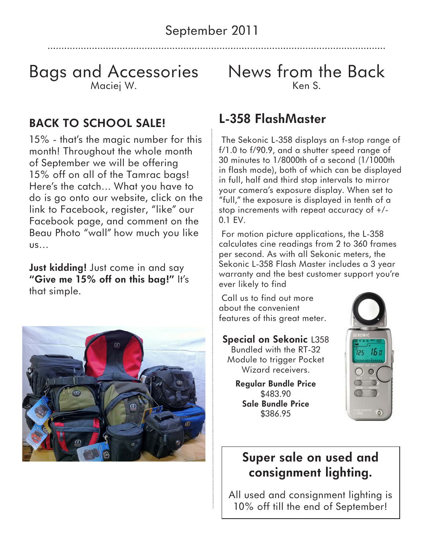## Bags and Accessories Maciej W.

## **BACK TO SCHOOL SALE!**

15% - that's the magic number for this month! Throughout the whole month of September we will be offering 15% off on all of the Tamrac bags! Here's the catch… What you have to do is go onto our website, click on the link to Facebook, register, "like" our Facebook page, and comment on the Beau Photo "wall" how much you like us…

**Just kidding!** Just come in and say **"Give me 15% off on this bag!"** It's that simple.



News from the Back Ken S.

## **L-358 FlashMaster**

 The Sekonic L-358 displays an f-stop range of f/1.0 to f/90.9, and a shutter speed range of 30 minutes to 1/8000th of a second (1/1000th in flash mode), both of which can be displayed in full, half and third stop intervals to mirror your camera's exposure display. When set to "full," the exposure is displayed in tenth of a stop increments with repeat accuracy of +/- 0.1 EV.

 For motion picture applications, the L-358 calculates cine readings from 2 to 360 frames per second. As with all Sekonic meters, the Sekonic L-358 Flash Master includes a 3 year warranty and the best customer support you're ever likely to find

 Call us to find out more about the convenient features of this great meter.

#### **Special on Sekonic** L358

Bundled with the RT-32 Module to trigger Pocket Wizard receivers.

**Regular Bundle Price**  \$483.90 **Sale Bundle Price**  \$386.95



## **Super sale on used and consignment lighting.**

All used and consignment lighting is 10% off till the end of September!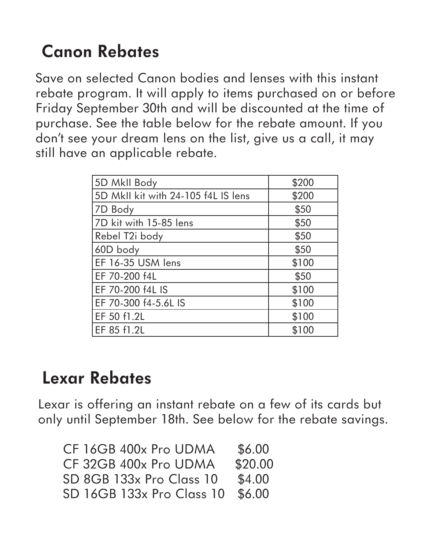# **Canon Rebates**

Save on selected Canon bodies and lenses with this instant rebate program. It will apply to items purchased on or before Friday September 30th and will be discounted at the time of purchase. See the table below for the rebate amount. If you don't see your dream lens on the list, give us a call, it may still have an applicable rebate.

| 5D MkII Body                        | \$200 |
|-------------------------------------|-------|
| 5D MkII kit with 24-105 f4L IS lens | \$200 |
| 7D Body                             | \$50  |
| 7D kit with 15-85 lens              | \$50  |
| Rebel T2i body                      | \$50  |
| 60D body                            | \$50  |
| EF 16-35 USM lens                   | \$100 |
| EF 70-200 f4L                       | \$50  |
| EF 70-200 f4L IS                    | \$100 |
| EF 70-300 f4-5.6L IS                | \$100 |
| EF 50 f1.2L                         | \$100 |
| EF 85 f1.2L                         | \$100 |

## **Lexar Rebates**

Lexar is offering an instant rebate on a few of its cards but only until September 18th. See below for the rebate savings.

| CF 16GB 400x Pro UDMA     | \$6.00  |
|---------------------------|---------|
| CF 32GB 400x Pro UDMA     | \$20.00 |
| SD 8GB 133x Pro Class 10  | \$4.00  |
| SD 16GB 133x Pro Class 10 | \$6.00  |